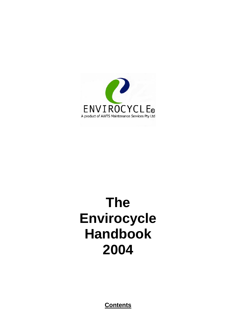

# **The Envirocycle Handbook 2004**

**Contents**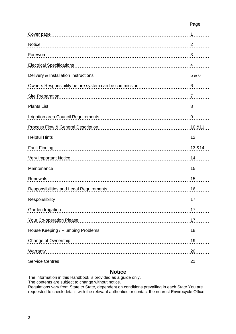| Cover page                                            | 1              |
|-------------------------------------------------------|----------------|
| Notice                                                | $\overline{2}$ |
| Foreword                                              | 3              |
| <b>Electrical Specifications</b>                      | $\overline{4}$ |
| Delivery & Installation Instructions                  | 5 & 6          |
| Owners Responsibility before system can be commission | 6              |
| Site Preparation                                      | $\overline{7}$ |
| <b>Plants List</b>                                    | 8              |
|                                                       | 9              |
| Process Flow & General Description                    | 10 & 11        |
| <b>Helpful Hints</b>                                  | 12             |
| <b>Fault Finding</b>                                  | 13 & 14        |
| Very Important Notice                                 | 14             |
| Maintenance                                           | 15             |
| Renewals                                              | 15             |
| Responsibilities and Legal Requirements               | 16             |
| Responsibility                                        | 17             |
| Garden Irrigation                                     | 17             |
| Your Co-operation Please                              | 17             |
| House Keeping / Plumbing Problems                     | 18             |
| Change of Ownership                                   | 19             |
| Warranty                                              | 20             |
| <b>Service Centres</b>                                | 21             |
|                                                       |                |

# **Notice**

The information in this Handbook is provided as a guide only. The contents are subject to change without notice. Regulations vary from State to State, dependent on conditions prevailing in each State.You are requested to check details with the relevant authorities or contact the nearest Envirocycle Office.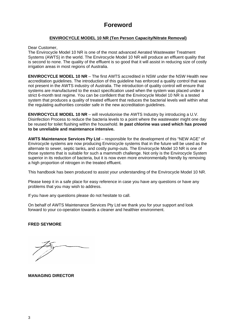# **Foreword**

# **ENVIROCYCLE MODEL 10 NR (Ten Person Capacity/Nitrate Removal)**

Dear Customer,

The Envirocycle Model 10 NR is one of the most advanced Aerated Wastewater Treatment Systems (AWTS) in the world. The Envirocycle Model 10 NR will produce an effluent quality that is second to none. The quality of the effluent is so good that it will assist in reducing size of costly irrigation areas in most regions of Australia.

**ENVIROCYCLE MODEL 10 NR** – The first AWTS accredited in NSW under the NSW Health new accreditation guidelines. The introduction of this guideline has enforced a quality control that was not present in the AWTS industry of Australia. The introduction of quality control will ensure that systems are manufactured to the exact specification used when the system was placed under a strict 6-month test regime. You can be confident that the Envirocycle Model 10 NR is a tested system that produces a quality of treated effluent that reduces the bacterial levels well within what the regulating authorities consider safe in the new accreditation guidelines.

**ENVIROCYCLE MODEL 10 NR** – will revolutionise the AWTS Industry by introducing a U.V. Disinfection Process to reduce the bacteria levels to a point where the wastewater might one day be reused for toilet flushing within the household. **In past chlorine was used which has proved to be unreliable and maintenance intensive.** 

**AWTS Maintenance Services Pty Ltd** – responsible for the development of this "NEW AGE" of Envirocycle systems are now producing Envirocycle systems that in the future will be used as the alternate to sewer, septic tanks, and costly pump-outs. The Envirocycle Model 10 NR is one of those systems that is suitable for such a mammoth challenge. Not only is the Envirocycle System superior in its reduction of bacteria, but it is now even more environmentally friendly by removing a high proportion of nitrogen in the treated effluent.

This handbook has been produced to assist your understanding of the Envirocycle Model 10 NR.

Please keep it in a safe place for easy reference in case you have any questions or have any problems that you may wish to address.

If you have any questions please do not hesitate to call.

On behalf of AWTS Maintenance Services Pty Ltd we thank you for your support and look forward to your co-operation towards a cleaner and healthier environment.

# **FRED SEYMORE**

**MANAGING DIRECTOR**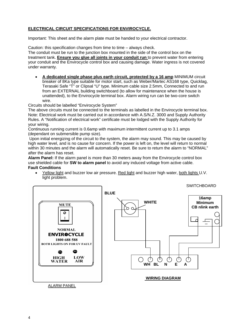# **ELECTRICAL CIRCUIT SPECIFICATIONS FOR ENVIROCYCLE.**

Important: This sheet and the alarm plate must be handed to your electrical contractor.

Caution: this specification changes from time to time – always check. The conduit must be run to the junction box mounted in the side of the control box on the treatment tank. **Ensure you glue all joints in your conduit run** to prevent water from entering

your conduit and the Envirocycle control box and causing damage. Water ingress is not covered under warranty.

• **A dedicated single phase plus earth circuit, protected by a 16 amp** MINIMUM circuit breaker of 8Ka type suitable for motor start, such as Weber/Martec AS168 type, Quicklag, Terasaki Safe "T" or Clipsal "U" type. Minimum cable size 2.5mm, Connected to and run from an EXTERNAL building switchboard (to allow for maintenance when the house is unattended), to the Envirocycle terminal box. Alarm wiring run can be two-core switch wire.

Circuits should be labelled "Envirocycle System"

The above circuits must be connected to the terminals as labelled in the Envirocycle terminal box. Note: Electrical work must be carried out in accordance with A.S/N.Z. 3000 and Supply Authority Rules. A "Notification of electrical work" certificate must be lodged with the Supply Authority for your wiring.

Continuous running current is 0.6amp with maximum intermittent current up to 3.1 amps (dependant on submersible pump size).

 Upon initial energizing of the circuit to the system, the alarm may sound. This may be caused by high water level, and is no cause for concern. If the power is left on, the level will return to normal within 30 minutes and the alarm will automatically reset. Be sure to return the alarm to "NORMAL" after the alarm has reset.

**Alarm Panel:** If the alarm panel is more than 30 meters away from the Envirocycle control box use shielded cable for **SW to alarm panel** to avoid any induced voltage from active cable. **Fault Conditions** 

• Yellow light and buzzer low air pressure. Red light and buzzer high water, both lights U.V. light problem.

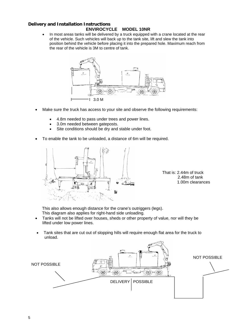### **Delivery and Installation Instructions ENVIROCYCLE MODEL 10NR**

• In most areas tanks will be delivered by a truck equipped with a crane located at the rear of the vehicle. Such vehicles will back up to the tank site, lift and slew the tank into position behind the vehicle before placing it into the prepared hole. Maximum reach from the rear of the vehicle is 3M to centre of tank.



- Make sure the truck has access to your site and observe the following requirements:
	- 4.8m needed to pass under trees and power lines.
	- 3.0m needed between gateposts.
	- Site conditions should be dry and stable under foot.
- To enable the tank to be unloaded, a distance of 6m will be required.



That is: 2.44m of truck 2.48m of tank 1.00m clearances

This also allows enough distance for the crane's outriggers (legs). This diagram also applies for right-hand side unloading.

- Tanks will not be lifted over houses, sheds or other property of value, nor will they be lifted under low power lines.
- Tank sites that are cut out of slopping hills will require enough flat area for the truck to unload.

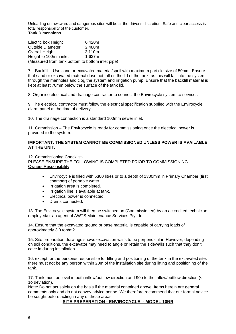Unloading on awkward and dangerous sites will be at the driver's discretion. Safe and clear access is total responsibility of the customer.

# **Tank Dimensions**

| Electric box Height                              | 0.420m |  |  |
|--------------------------------------------------|--------|--|--|
| <b>Outside Diameter</b>                          | 2.480m |  |  |
| <b>Overall Height</b>                            | 2.110m |  |  |
| Height to 100mm inlet                            | 1.637m |  |  |
| (Measured from tank bottom to bottom inlet pipe) |        |  |  |

7. Backfill – Use sand or excavated material/spoil with maximum particle size of 50mm. Ensure that sand or excavated material dose not fall on the lid of the tank, as this will fall into the system through the manholes and clog the system and irrigation pump. Ensure that the backfill material is kept at least 70mm below the surface of the tank lid.

8. Organise electrical and drainage contractor to connect the Envirocycle system to services.

9. The electrical contractor must follow the electrical specification supplied with the Envirocycle alarm panel at the time of delivery.

10. The drainage connection is a standard 100mm sewer inlet.

11. Commission – The Envirocycle is ready for commissioning once the electrical power is provided to the system.

### **IMPORTANT: THE SYSTEM CANNOT BE COMMISSIONED UNLESS POWER IS AVAILABLE AT THE UNIT.**

12. Commissioning Checklist-PLEASE ENSURE THE FOLLOWING IS COMPLETED PRIOR TO COMMISSIONING. Owners Responsibility

- Envirocycle is filled with 5300 litres or to a depth of 1300mm in Primary Chamber (first chamber) of portable water.
- Irrigation area is completed.
- Irrigation line is available at tank.
- Electrical power is connected.
- Drains connected.

13. The Envirocycle system will then be switched on (Commissioned) by an accredited technician employed/or an agent of AWTS Maintenance Services Pty Ltd.

14. Ensure that the excavated ground or base material is capable of carrying loads of approximately 3.0 ton/m2

15. Site preparation drawings shows excavation walls to be perpendicular. However, depending on soil conditions, the excavator may need to angle or retain the sidewalls such that they don't cave in during installation.

16. except for the person/s responsible for lifting and positioning of the tank in the excavated site, there must not be any person within 20m of the installation site during lifting and positioning of the tank.

17. Tank must be level in both inflow/outflow direction and 90o to the inflow/outflow direction (< 1o deviation).

Note: Do not act solely on the basis if the material contained above. Items herein are general comments only and do not convey advice per se. We therefore recommend that our formal advice be sought before acting in any of these areas.

# **SITE PREPERATION - ENVIROCYCLE - MODEL 10NR**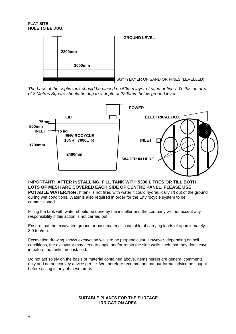### **FLAT SITE HOLE TO BE DUG.**



*The base of the septic tank should be placed on 50mm layer of sand or fines. To this an area of 3 Metres Square should be dug to a depth of 2200mm below ground level.* 



IMPORTANT: **AFTER INSTALLING, FILL TANK WITH 5300 LITRES OR TILL BOTH LOTS OF MESH ARE COVERED EACH SIDE OF CENTRE PANEL, PLEASE USE POTABLE WATER.Note:** If tank is not filled with water it could hydraulically lift out of the ground during wet conditions. Water is also required in order for the Envirocycle system to be commissioned.

Filling the tank with water should be done by the installer and the company will not accept any responsibility if this action is not carried out.

Ensure that the excavated ground or base material is capable of carrying loads of approximately 3.0 ton/mo.

Excavation drawing shows excavation walls to be perpendicular. However, depending on soil conditions, the excavator may need to angle and/or retain the side walls such that they don't cave in before the tanks are installed.

Do not act solely on the basis of material contained above. Items herein are general comments only and do not convey advice per se. We therefore recommend that our formal advice be sought before acting in any of these areas.

# **SUITABLE PLANTS FOR THE SURFACE IRRIGATION AREA**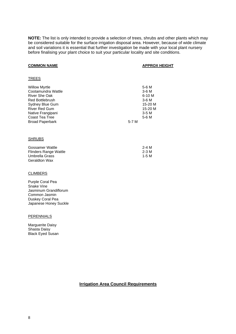**NOTE:** The list is only intended to provide a selection of trees, shrubs and other plants which may be considered suitable for the surface irrigation disposal area. However, because of wide climate and soil variations it is essential that further investigation be made with your local plant nursery before finalising your plant choice to suit your particular locality and site conditions.

### **COMMON NAME APPROX HEIGHT**

| <b>TREES</b>                                                                                                                                                                                      |       |                                                                              |
|---------------------------------------------------------------------------------------------------------------------------------------------------------------------------------------------------|-------|------------------------------------------------------------------------------|
| <b>Willow Myrtle</b><br>Cootamundra Wattle<br>River She Oak<br><b>Red Bottlebrush</b><br>Sydney Blue Gum<br><b>River Red Gum</b><br>Native Frangipani<br>Coast Tea Tree<br><b>Broad Paperbark</b> | 5-7 M | 5-6 M<br>3-6 M<br>$6-10M$<br>$3-6M$<br>15-20 M<br>15-20 M<br>$3-5M$<br>5-6 M |
| <u>SHRUBS</u>                                                                                                                                                                                     |       |                                                                              |
| Gossamer Wattle<br><b>Flinders Range Wattle</b><br>Umbrella Grass<br>Geraldton Wax                                                                                                                |       | $2-4M$<br>$2-3M$<br>$1-5M$                                                   |

### CLIMBERS

Purple Coral Pea Snake Vine Jasminum Grandiflorum Common Jasmin Duskey Coral Pea Japanese Honey Suckle

### **PERENNIALS**

Marguerite Daisy Shasta Daisy Black Eyed Susan

# **Irrigation Area Council Requirements**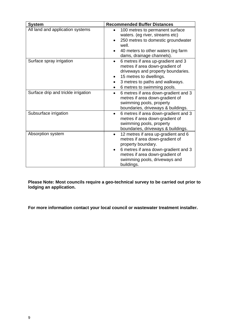| <b>System</b>                       | <b>Recommended Buffer Distances</b>                                                                                                                                                                                    |
|-------------------------------------|------------------------------------------------------------------------------------------------------------------------------------------------------------------------------------------------------------------------|
| All land and application systems    | 100 metres to permanent surface<br>waters. (eg river, streams etc)<br>250 metres to domestic groundwater<br>well.<br>40 meters to other waters (eg farm<br>dams, drainage channels).                                   |
| Surface spray irrigation            | 6 metres if area up-gradient and 3<br>$\bullet$<br>metres if area down-gradient of<br>driveways and property boundaries.<br>15 metres to dwellings.<br>3 metres to paths and walkways.<br>6 metres to swimming pools.  |
| Surface drip and trickle irrigation | 6 metres if area down-gradient and 3<br>metres if area down-gradient of<br>swimming pools, property<br>boundaries, driveways & buildings.                                                                              |
| Subsurface irrigation               | 6 metres if area down-gradient and 3<br>$\bullet$<br>metres if area down-gradient of<br>swimming pools, property<br>boundaries, driveways & buildings.                                                                 |
| Absorption system                   | 12 metres if area up-gradient and 6<br>metres if area down-gradient of<br>property boundary.<br>6 metres if area down-gradient and 3<br>metres if area down-gradient of<br>swimming pools, driveways and<br>buildings. |

**Please Note: Most councils require a geo-technical survey to be carried out prior to lodging an application.** 

**For more information contact your local council or wastewater treatment installer.**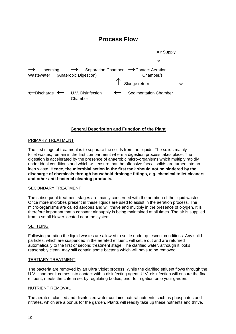# **Process Flow**



# **General Description and Function of the Plant**

### PRIMARY TREATMENT

The first stage of treatment is to separate the solids from the liquids. The solids mainly toilet wastes, remain in the first compartment where a digestion process takes place. The digestion is accelerated by the presence of anaerobic micro-organisms which multiply rapidly under ideal conditions and which will ensure that the offensive faecal solids are turned into an inert waste. **Hence, the microbial action in the first tank should not be hindered by the discharge of chemicals through household drainage fittings, e.g. chemical toilet cleaners and other anti-bacterial cleaning products.**

### SECONDARY TREATMENT

The subsequent treatment stages are mainly concerned with the aeration of the liquid wastes. Once more microbes present in these liquids are used to assist in the aeration process. The micro-organisms are called aerobes and will thrive and multiply in the presence of oxygen. It is therefore important that a constant air supply is being maintained at all times. The air is supplied from a small blower located near the system.

### **SETTLING**

Following aeration the liquid wastes are allowed to settle under quiescent conditions. Any solid particles, which are suspended in the aerated effluent, will settle out and are returned automatically to the first or second treatment stage. The clarified water, although it looks reasonably clean, may still contain some bacteria which will have to be removed.

### TERTIARY TREATMENT

The bacteria are removed by an Ultra Violet process. While the clarified effluent flows through the U.V. chamber it comes into contact with a disinfecting agent. U.V. disinfection will ensure the final effluent, meets the criteria set by regulating bodies, prior to irrigation onto your garden.

### NUTRIENT REMOVAL

The aerated, clarified and disinfected water contains natural nutrients such as phosphates and nitrates, which are a bonus for the garden. Plants will readily take up these nutrients and thrive,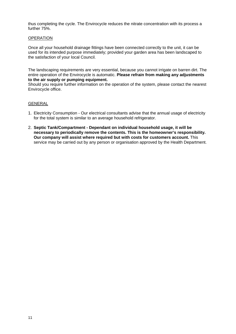thus completing the cycle. The Envirocycle reduces the nitrate concentration with its process a further 75%.

### **OPERATION**

Once all your household drainage fittings have been connected correctly to the unit, it can be used for its intended purpose immediately; provided your garden area has been landscaped to the satisfaction of your local Council.

The landscaping requirements are very essential, because you cannot irrigate on barren dirt. The entire operation of the Envirocycle is automatic. **Please refrain from making any adjustments to the air supply or pumping equipment.**

Should you require further information on the operation of the system, please contact the nearest Envirocycle office.

# GENERAL

- 1. Electricity Consumption Our electrical consultants advise that the annual usage of electricity for the total system is similar to an average household refrigerator.
- 2. **Septic Tank/Compartment Dependant on individual household usage, it will be necessary to periodically remove the contents. This is the homeowner's responsibility. Our company will assist where required but with costs for customers account.** This service may be carried out by any person or organisation approved by the Health Department.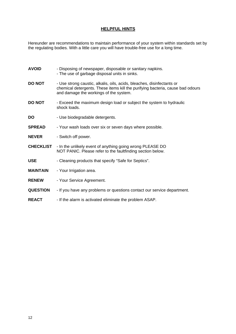# **HELPFUL HINTS**

Hereunder are recommendations to maintain performance of your system within standards set by the regulating bodies. With a little care you will have trouble-free use for a long time.

| <b>AVOID</b>     | - Disposing of newspaper, disposable or sanitary napkins.<br>- The use of garbage disposal units in sinks.                                                                                         |
|------------------|----------------------------------------------------------------------------------------------------------------------------------------------------------------------------------------------------|
| <b>DO NOT</b>    | - Use strong caustic, alkalis, oils, acids, bleaches, disinfectants or<br>chemical detergents. These items kill the purifying bacteria, cause bad odours<br>and damage the workings of the system. |
| <b>DO NOT</b>    | - Exceed the maximum design load or subject the system to hydraulic<br>shock loads.                                                                                                                |
| DO               | - Use biodegradable detergents.                                                                                                                                                                    |
| <b>SPREAD</b>    | - Your wash loads over six or seven days where possible.                                                                                                                                           |
| <b>NEVER</b>     | - Switch off power.                                                                                                                                                                                |
| <b>CHECKLIST</b> | - In the unlikely event of anything going wrong PLEASE DO<br>NOT PANIC. Please refer to the faultfinding section below.                                                                            |
| USE              | - Cleaning products that specify "Safe for Septics".                                                                                                                                               |
| <b>MAINTAIN</b>  | - Your Irrigation area.                                                                                                                                                                            |
| <b>RENEW</b>     | - Your Service Agreement.                                                                                                                                                                          |
| <b>QUESTION</b>  | - If you have any problems or questions contact our service department.                                                                                                                            |
| <b>REACT</b>     | - If the alarm is activated eliminate the problem ASAP.                                                                                                                                            |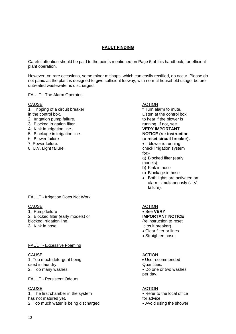# **FAULT FINDING**

Careful attention should be paid to the points mentioned on Page 5 of this handbook, for efficient plant operation.

However, on rare occasions, some minor mishaps, which can easily rectified, do occur. Please do not panic as the plant is designed to give sufficient leeway, with normal household usage, before untreated wastewater is discharged.

### FAULT - The Alarm Operates

# CAUSE ACTION

- 1. Tripping of a circuit breaker \* Turn alarm to mute.
- 
- 
- 
- 4. Kink in irrigation line.
- 5. Blockage in irrigation line. **NOTICE (re: instruction**
- 
- 
- 

# FAULT - Irrigation Does Not Work

### CAUSE CAUSE ACTION

- 1. Pump failure  **See VERY**
- 2. Blocked filter (early models) or **IMPORTANT NOTICE**
- 

### FAULT - Excessive Foaming

# CAUSE **ACTION** 1. Too much detergent being example of the state of the Use recommended used in laundry. The contract of the contract of the contract of the Quantities.

# FAULT - Persistent Odours

### CAUSE ACTION 1. The first chamber in the system  $\overline{\phantom{a}}$  Refer to the local office has not matured yet. The set of the set of the set of the set of the set of the set of the set of the set of the set of the set of the set of the set of the set of the set of the set of the set of the set of the set of the 2. Too much water is being discharged • Avoid using the shower

in the control box. Listen at the control box 2. Irrigation pump failure. The same is to hear if the blower is 3. Blocked irrigation filter. running. If not, see

to reset circuit breaker).

7. Power failure. • If blower is running 8. U.V. Light failure. Check irrigation system  $f$ or: $\overline{\phantom{a}}$ 

a) Blocked filter (early models).

- b) Kink in hose
- c) Blockage in hose
- Both lights are activated on alarm simultaneously (U.V. failure).

# (re instruction to reset

3. Kink in hose. circuit breaker).

- Clear filter or lines.
- Straighten hose.

2. Too many washes. **• Do one or two washes • Do one or two washes** per day.

13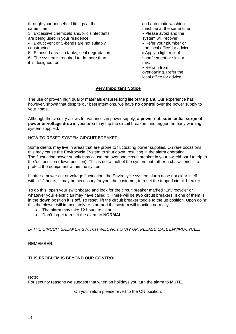through your household fittings at the and automatic washing same time. The same time at the same time at the same time at the same time

3. Excessive chemicals and/or disinfectants • Please avoid and the are being used in your residence. Some system will recover.

4. E-duct vent or S-bends are not suitably • Refer your plumber or constructed. The local office for advice.

5. Exposed areas in tanks, seal degradation. • Apply a light mix of

6. The system is required to do more than sand/cement or similar it is designed for. The matrix of the matrix of the mix.

 • Refrain from overloading. Refer the local office for advice.

# **Very Important Notice**

The use of proven high quality materials ensures long life of the plant. Our experience has however, shown that despite our best intentions, we have **no control** over the power supply to your home.

Although the circuitry allows for variances in power supply; **a power cut, substantial surge of power or voltage drop** in your area may trip the circuit breakers and trigger the early warning system supplied.

HOW TO RESET SYSTEM CIRCUIT BREAKER

Some clients may live in areas that are prone to fluctuating power supplies. On rare occasions this may cause the Envirocycle System to shut down, resulting in the alarm operating. The fluctuating power supply may cause the overload circuit breaker in your switchboard to trip to the 'off' position (down position). This is not a fault of the system but rather a characteristic to protect the equipment within the system.

If, after a power cut or voltage fluctuation, the Envirocycle system alarm dose not clear itself within 12 hours, it may be necessary for you, the customer, to reset the tripped circuit breaker.

To do this, open your switchboard and look for the circuit breaker marked "Envirocycle" or whatever your electrician may have called it. There will be **two** circuit breakers. If one of them is in the **down** position it is **off**. To reset, lift the circuit breaker toggle to the up position. Upon doing this the blower will immediately re-start and the system will function normally.

- The alarm may take 12 hours to clear.
- Don't forget to reset the alarm to **NORMAL**.

*IF THE CIRCUIT BREAKER SWITCH WILL NOT STAY UP, PLEASE CALL ENVIROCYCLE.* 

REMEMBER:

# **THIS PROBLEM IS BEYOND OUR CONTROL.**

Note:

For security reasons we suggest that when on holidays you turn the alarm to **MUTE**.

On your return please revert to the ON position.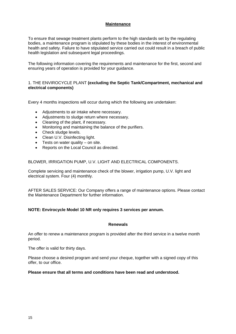# **Maintenance**

To ensure that sewage treatment plants perform to the high standards set by the regulating bodies, a maintenance program is stipulated by these bodies in the interest of environmental health and safety. Failure to have stipulated service carried out could result in a breach of public health legislation and subsequent legal proceedings.

The following information covering the requirements and maintenance for the first, second and ensuring years of operation is provided for your guidance.

# 1. THE ENVIROCYCLE PLANT **(excluding the Septic Tank/Compartment, mechanical and electrical components)**

Every 4 months inspections will occur during which the following are undertaken:

- Adjustments to air intake where necessary.
- Adjustments to sludge return where necessary.
- Cleaning of the plant, if necessary.
- Monitoring and maintaining the balance of the purifiers.
- Check sludge levels.
- Clean U.V. Disinfecting light.
- $\bullet$  Tests on water quality on site.
- Reports on the Local Council as directed.

BLOWER, IRRIGATION PUMP, U.V. LIGHT AND ELECTRICAL COMPONENTS.

Complete servicing and maintenance check of the blower, irrigation pump, U.V. light and electrical system. Four (4) monthly.

AFTER SALES SERVICE: Our Company offers a range of maintenance options. Please contact the Maintenance Department for further information.

### **NOTE: Envirocycle Model 10 NR only requires 3 services per annum.**

### **Renewals**

An offer to renew a maintenance program is provided after the third service in a twelve month period.

The offer is valid for thirty days.

Please choose a desired program and send your cheque, together with a signed copy of this offer, to our office.

## **Please ensure that all terms and conditions have been read and understood.**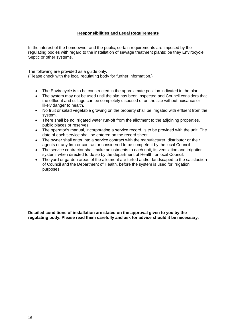# **Responsibilities and Legal Requirements**

In the interest of the homeowner and the public, certain requirements are imposed by the regulating bodies with regard to the installation of sewage treatment plants; be they Envirocycle, Septic or other systems.

The following are provided as a guide only. (Please check with the local regulating body for further information.)

- The Envirocycle is to be constructed in the approximate position indicated in the plan.
- The system may not be used until the site has been inspected and Council considers that the effluent and sullage can be completely disposed of on the site without nuisance or likely danger to health.
- No fruit or salad vegetable growing on the property shall be irrigated with effluent from the system.
- There shall be no irrigated water run-off from the allotment to the adioining properties, public places or reserves.
- The operator's manual, incorporating a service record, is to be provided with the unit. The date of each service shall be entered on the record sheet.
- The owner shall enter into a service contract with the manufacturer, distributor or their agents or any firm or contractor considered to be competent by the local Council.
- The service contractor shall make adjustments to each unit, its ventilation and irrigation system, when directed to do so by the department of Health, or local Council.
- The yard or garden areas of the allotment are turfed and/or landscaped to the satisfaction of Council and the Department of Health, before the system is used for irrigation purposes.

**Detailed conditions of installation are stated on the approval given to you by the regulating body. Please read them carefully and ask for advice should it be necessary.**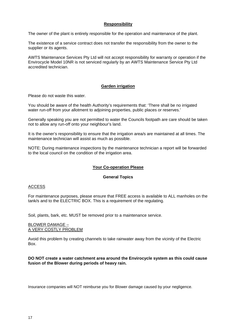# **Responsibility**

The owner of the plant is entirely responsible for the operation and maintenance of the plant.

The existence of a service contract does not transfer the responsibility from the owner to the supplier or its agents.

AWTS Maintenance Services Pty Ltd will not accept responsibility for warranty or operation if the Envirocycle Model 10NR is not serviced regularly by an AWTS Maintenance Service Pty Ltd accredited technician.

# **Garden irrigation**

Please do not waste this water.

You should be aware of the health Authority's requirements that: 'There shall be no irrigated water run-off from your allotment to adjoining properties, public places or reserves.'

Generally speaking you are not permitted to water the Councils footpath are care should be taken not to allow any run-off onto your neighbour's land.

It is the owner's responsibility to ensure that the irrigation area/s are maintained at all times. The maintenance technician will assist as much as possible.

NOTE: During maintenance inspections by the maintenance technician a report will be forwarded to the local council on the condition of the irrigation area.

### **Your Co-operation Please**

### **General Topics**

### ACCESS

For maintenance purposes, please ensure that FREE access is available to ALL manholes on the tank/s and to the ELECTRIC BOX. This is a requirement of the regulating.

Soil, plants, bark, etc. MUST be removed prior to a maintenance service.

### BLOWER DAMAGE – A VERY COSTLY PROBLEM

Avoid this problem by creating channels to take rainwater away from the vicinity of the Electric Box.

### **DO NOT create a water catchment area around the Envirocycle system as this could cause fusion of the Blower during periods of heavy rain.**

Insurance companies will NOT reimburse you for Blower damage caused by your negligence.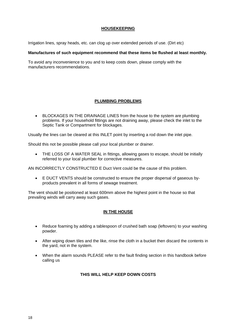# **HOUSEKEEPING**

Irrigation lines, spray heads, etc. can clog up over extended periods of use. (Dirt etc)

### **Manufactures of such equipment recommend that these items be flushed at least monthly.**

To avoid any inconvenience to you and to keep costs down, please comply with the manufacturers recommendations.

# **PLUMBING PROBLEMS**

• BLOCKAGES IN THE DRAINAGE LINES from the house to the system are plumbing problems. If your household fittings are not draining away, please check the inlet to the Septic Tank or Compartment for blockages.

Usually the lines can be cleared at this INLET point by inserting a rod down the inlet pipe.

Should this not be possible please call your local plumber or drainer.

• THE LOSS OF A WATER SEAL in fittings, allowing gases to escape, should be initially referred to your local plumber for corrective measures.

AN INCORRECTLY CONSTRUCTED E Duct Vent could be the cause of this problem.

• E DUCT VENTS should be constructed to ensure the proper dispersal of gaseous byproducts prevalent in all forms of sewage treatment.

The vent should be positioned at least 600mm above the highest point in the house so that prevailing winds will carry away such gases.

### **IN THE HOUSE**

- Reduce foaming by adding a tablespoon of crushed bath soap (leftovers) to your washing powder.
- After wiping down tiles and the like, rinse the cloth in a bucket then discard the contents in the yard, not in the system.
- When the alarm sounds PLEASE refer to the fault finding section in this handbook before calling us

# **THIS WILL HELP KEEP DOWN COSTS**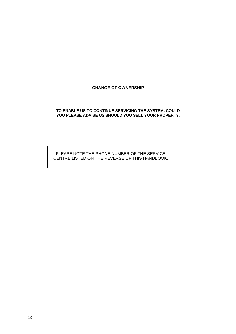# **CHANGE OF OWNERSHIP**

### **TO ENABLE US TO CONTINUE SERVICING THE SYSTEM, COULD**  YOU PLEASE ADVISE US SHOULD YOU SELL YOUR PROPERTY.

# PLEASE NOTE THE PHONE NUMBER OF THE SERVICE CENTRE LISTED ON THE REVERSE OF THIS HANDBOOK.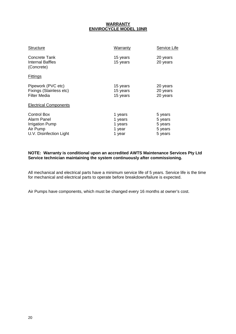# **WARRANTY ENVIROCYCLE MODEL 10NR**

| Concrete Tank<br>15 years<br>20 years<br>Internal Baffles<br>15 years<br>20 years<br>(Concrete)<br><b>Fittings</b><br>Pipework (PVC etc)<br>15 years<br>20 years<br>Fixings (Stainless etc)<br>15 years<br>20 years<br>Filter Media<br>15 years<br>20 years<br><b>Electrical Components</b><br><b>Control Box</b><br>5 years<br>1 years<br>Alarm Panel<br>1 years<br>5 years<br>1 years<br>5 years<br><b>Irrigation Pump</b><br>Air Pump<br>5 years<br>1 year<br>U.V. Disinfection Light<br>5 years<br>1 year | <b>Structure</b> | Warranty | Service Life |
|---------------------------------------------------------------------------------------------------------------------------------------------------------------------------------------------------------------------------------------------------------------------------------------------------------------------------------------------------------------------------------------------------------------------------------------------------------------------------------------------------------------|------------------|----------|--------------|
|                                                                                                                                                                                                                                                                                                                                                                                                                                                                                                               |                  |          |              |
|                                                                                                                                                                                                                                                                                                                                                                                                                                                                                                               |                  |          |              |
|                                                                                                                                                                                                                                                                                                                                                                                                                                                                                                               |                  |          |              |
|                                                                                                                                                                                                                                                                                                                                                                                                                                                                                                               |                  |          |              |

# **NOTE: Warranty is conditional upon an accredited AWTS Maintenance Services Pty Ltd Service technician maintaining the system continuously after commissioning.**

All mechanical and electrical parts have a minimum service life of 5 years. Service life is the time for mechanical and electrical parts to operate before breakdown/failure is expected.

Air Pumps have components, which must be changed every 16 months at owner's cost.